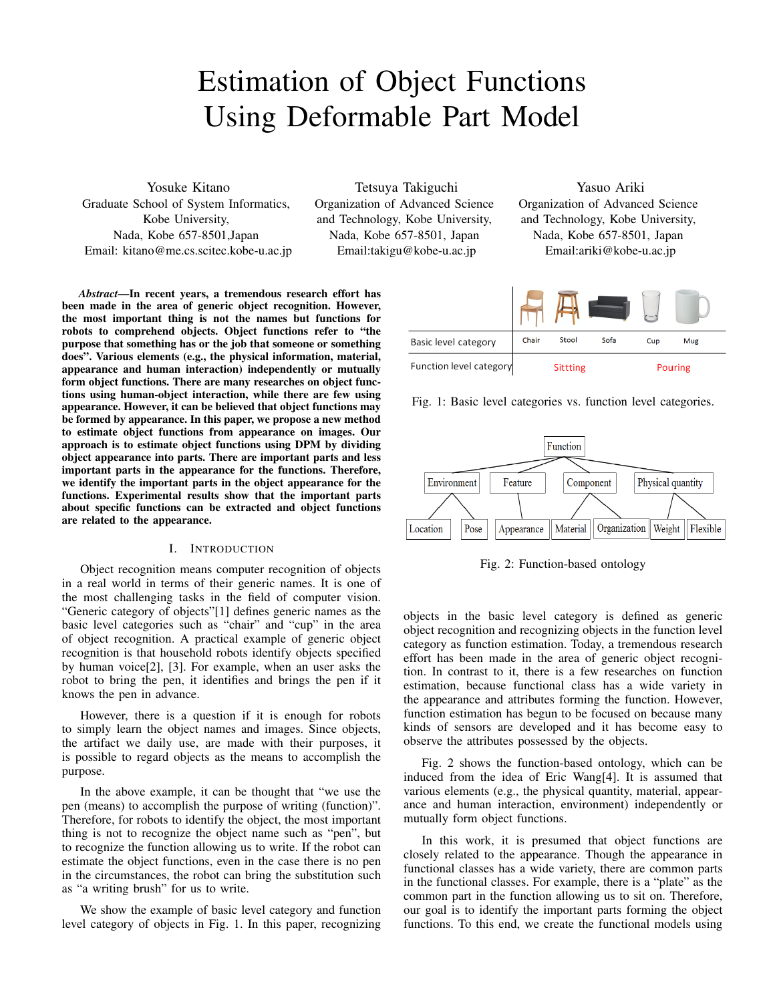# Estimation of Object Functions Using Deformable Part Model

Yosuke Kitano Graduate School of System Informatics, Kobe University, Nada, Kobe 657-8501,Japan Email: kitano@me.cs.scitec.kobe-u.ac.jp

Tetsuya Takiguchi Organization of Advanced Science and Technology, Kobe University, Nada, Kobe 657-8501, Japan Email:takigu@kobe-u.ac.jp

Yasuo Ariki Organization of Advanced Science and Technology, Kobe University, Nada, Kobe 657-8501, Japan Email:ariki@kobe-u.ac.jp

*Abstract*—In recent years, a tremendous research effort has been made in the area of generic object recognition. However, the most important thing is not the names but functions for robots to comprehend objects. Object functions refer to "the purpose that something has or the job that someone or something does". Various elements (e.g., the physical information, material, appearance and human interaction) independently or mutually form object functions. There are many researches on object functions using human-object interaction, while there are few using appearance. However, it can be believed that object functions may be formed by appearance. In this paper, we propose a new method to estimate object functions from appearance on images. Our approach is to estimate object functions using DPM by dividing object appearance into parts. There are important parts and less important parts in the appearance for the functions. Therefore, we identify the important parts in the object appearance for the functions. Experimental results show that the important parts about specific functions can be extracted and object functions are related to the appearance.

# I. INTRODUCTION

Object recognition means computer recognition of objects in a real world in terms of their generic names. It is one of the most challenging tasks in the field of computer vision. "Generic category of objects"[1] defines generic names as the basic level categories such as "chair" and "cup" in the area of object recognition. A practical example of generic object recognition is that household robots identify objects specified by human voice[2], [3]. For example, when an user asks the robot to bring the pen, it identifies and brings the pen if it knows the pen in advance.

However, there is a question if it is enough for robots to simply learn the object names and images. Since objects, the artifact we daily use, are made with their purposes, it is possible to regard objects as the means to accomplish the purpose.

In the above example, it can be thought that "we use the pen (means) to accomplish the purpose of writing (function)". Therefore, for robots to identify the object, the most important thing is not to recognize the object name such as "pen", but to recognize the function allowing us to write. If the robot can estimate the object functions, even in the case there is no pen in the circumstances, the robot can bring the substitution such as "a writing brush" for us to write.

We show the example of basic level category and function level category of objects in Fig. 1. In this paper, recognizing

|                         |                            |       |      | $\left\langle \overline{\phantom{a}}\right\rangle$ |     |  |
|-------------------------|----------------------------|-------|------|----------------------------------------------------|-----|--|
| Basic level category    | Chair                      | Stool | Sofa | Cup                                                | Mug |  |
| Function level category | <b>Sittting</b><br>Pouring |       |      |                                                    |     |  |





Fig. 2: Function-based ontology

objects in the basic level category is defined as generic object recognition and recognizing objects in the function level category as function estimation. Today, a tremendous research effort has been made in the area of generic object recognition. In contrast to it, there is a few researches on function estimation, because functional class has a wide variety in the appearance and attributes forming the function. However, function estimation has begun to be focused on because many kinds of sensors are developed and it has become easy to observe the attributes possessed by the objects.

Fig. 2 shows the function-based ontology, which can be induced from the idea of Eric Wang[4]. It is assumed that various elements (e.g., the physical quantity, material, appearance and human interaction, environment) independently or mutually form object functions.

In this work, it is presumed that object functions are closely related to the appearance. Though the appearance in functional classes has a wide variety, there are common parts in the functional classes. For example, there is a "plate" as the common part in the function allowing us to sit on. Therefore, our goal is to identify the important parts forming the object functions. To this end, we create the functional models using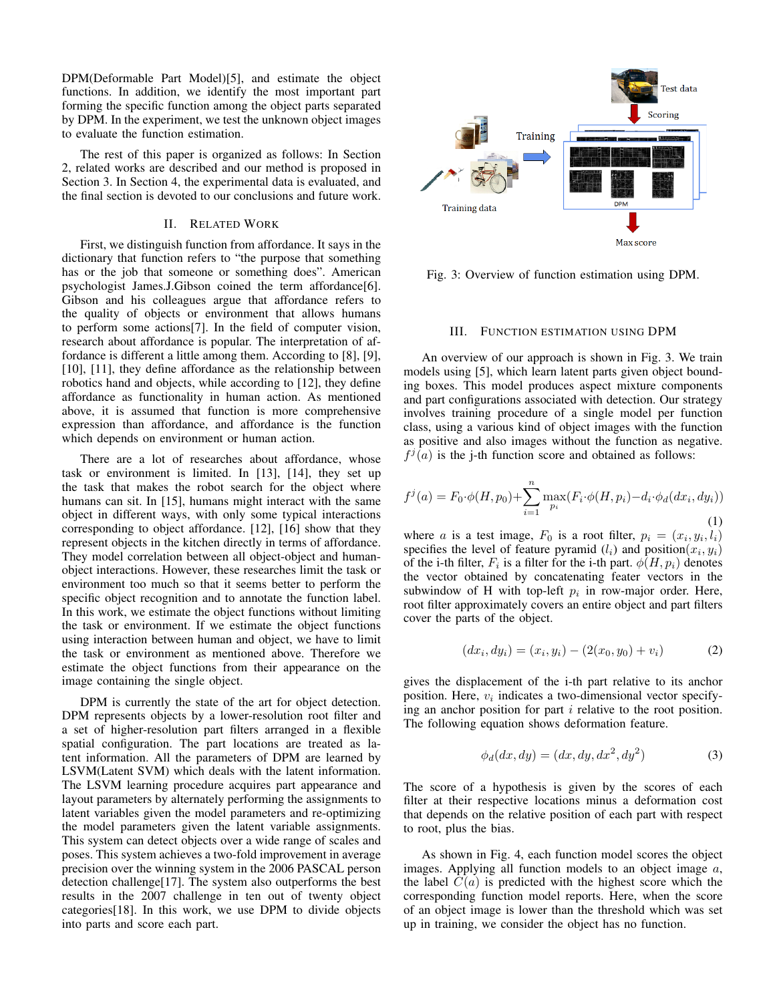DPM(Deformable Part Model)[5], and estimate the object functions. In addition, we identify the most important part forming the specific function among the object parts separated by DPM. In the experiment, we test the unknown object images to evaluate the function estimation.

The rest of this paper is organized as follows: In Section 2, related works are described and our method is proposed in Section 3. In Section 4, the experimental data is evaluated, and the final section is devoted to our conclusions and future work.

# II. RELATED WORK

First, we distinguish function from affordance. It says in the dictionary that function refers to "the purpose that something has or the job that someone or something does". American psychologist James.J.Gibson coined the term affordance[6]. Gibson and his colleagues argue that affordance refers to the quality of objects or environment that allows humans to perform some actions[7]. In the field of computer vision, research about affordance is popular. The interpretation of affordance is different a little among them. According to [8], [9], [10], [11], they define affordance as the relationship between robotics hand and objects, while according to [12], they define affordance as functionality in human action. As mentioned above, it is assumed that function is more comprehensive expression than affordance, and affordance is the function which depends on environment or human action.

There are a lot of researches about affordance, whose task or environment is limited. In [13], [14], they set up the task that makes the robot search for the object where humans can sit. In [15], humans might interact with the same object in different ways, with only some typical interactions corresponding to object affordance. [12], [16] show that they represent objects in the kitchen directly in terms of affordance. They model correlation between all object-object and humanobject interactions. However, these researches limit the task or environment too much so that it seems better to perform the specific object recognition and to annotate the function label. In this work, we estimate the object functions without limiting the task or environment. If we estimate the object functions using interaction between human and object, we have to limit the task or environment as mentioned above. Therefore we estimate the object functions from their appearance on the image containing the single object.

DPM is currently the state of the art for object detection. DPM represents objects by a lower-resolution root filter and a set of higher-resolution part filters arranged in a flexible spatial configuration. The part locations are treated as latent information. All the parameters of DPM are learned by LSVM(Latent SVM) which deals with the latent information. The LSVM learning procedure acquires part appearance and layout parameters by alternately performing the assignments to latent variables given the model parameters and re-optimizing the model parameters given the latent variable assignments. This system can detect objects over a wide range of scales and poses. This system achieves a two-fold improvement in average precision over the winning system in the 2006 PASCAL person detection challenge[17]. The system also outperforms the best results in the 2007 challenge in ten out of twenty object categories[18]. In this work, we use DPM to divide objects into parts and score each part.



Fig. 3: Overview of function estimation using DPM.

#### III. FUNCTION ESTIMATION USING DPM

An overview of our approach is shown in Fig. 3. We train models using [5], which learn latent parts given object bounding boxes. This model produces aspect mixture components and part configurations associated with detection. Our strategy involves training procedure of a single model per function class, using a various kind of object images with the function as positive and also images without the function as negative.  $f^{j}(a)$  is the j-th function score and obtained as follows:

$$
f^{j}(a) = F_{0} \cdot \phi(H, p_{0}) + \sum_{i=1}^{n} \max_{p_{i}} (F_{i} \cdot \phi(H, p_{i}) - d_{i} \cdot \phi_{d}(dx_{i}, dy_{i}))
$$
\n(1)

where *a* is a test image,  $F_0$  is a root filter,  $p_i = (x_i, y_i, l_i)$ specifies the level of feature pyramid  $(l_i)$  and position $(x_i, y_i)$ of the i-th filter,  $F_i$  is a filter for the i-th part.  $\phi(H, p_i)$  denotes the vector obtained by concatenating feater vectors in the subwindow of H with top-left  $p_i$  in row-major order. Here, root filter approximately covers an entire object and part filters cover the parts of the object.

$$
(dx_i, dy_i) = (x_i, y_i) - (2(x_0, y_0) + v_i)
$$
 (2)

gives the displacement of the i-th part relative to its anchor position. Here,  $v_i$  indicates a two-dimensional vector specifying an anchor position for part *i* relative to the root position. The following equation shows deformation feature.

$$
\phi_d(dx, dy) = (dx, dy, dx^2, dy^2)
$$
\n(3)

The score of a hypothesis is given by the scores of each filter at their respective locations minus a deformation cost that depends on the relative position of each part with respect to root, plus the bias.

As shown in Fig. 4, each function model scores the object images. Applying all function models to an object image *a*, the label  $C(a)$  is predicted with the highest score which the corresponding function model reports. Here, when the score of an object image is lower than the threshold which was set up in training, we consider the object has no function.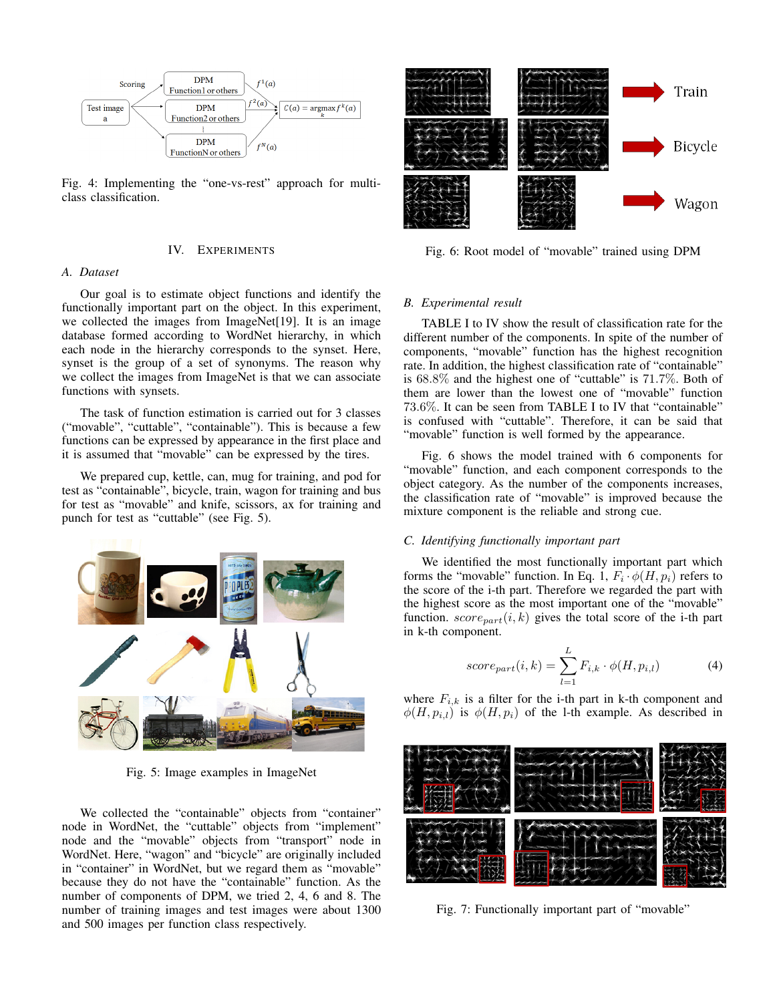

Fig. 4: Implementing the "one-vs-rest" approach for multiclass classification.

# IV. EXPERIMENTS

# *A. Dataset*

Our goal is to estimate object functions and identify the functionally important part on the object. In this experiment, we collected the images from ImageNet[19]. It is an image database formed according to WordNet hierarchy, in which each node in the hierarchy corresponds to the synset. Here, synset is the group of a set of synonyms. The reason why we collect the images from ImageNet is that we can associate functions with synsets.

The task of function estimation is carried out for 3 classes ("movable", "cuttable", "containable"). This is because a few functions can be expressed by appearance in the first place and it is assumed that "movable" can be expressed by the tires.

We prepared cup, kettle, can, mug for training, and pod for test as "containable", bicycle, train, wagon for training and bus for test as "movable" and knife, scissors, ax for training and punch for test as "cuttable" (see Fig. 5).



Fig. 5: Image examples in ImageNet

We collected the "containable" objects from "container" node in WordNet, the "cuttable" objects from "implement" node and the "movable" objects from "transport" node in WordNet. Here, "wagon" and "bicycle" are originally included in "container" in WordNet, but we regard them as "movable" because they do not have the "containable" function. As the number of components of DPM, we tried 2, 4, 6 and 8. The number of training images and test images were about 1300 and 500 images per function class respectively.



Fig. 6: Root model of "movable" trained using DPM

#### *B. Experimental result*

TABLE I to IV show the result of classification rate for the different number of the components. In spite of the number of components, "movable" function has the highest recognition rate. In addition, the highest classification rate of "containable" is 68*.*8% and the highest one of "cuttable" is 71*.*7%. Both of them are lower than the lowest one of "movable" function 73*.*6%. It can be seen from TABLE I to IV that "containable" is confused with "cuttable". Therefore, it can be said that "movable" function is well formed by the appearance.

Fig. 6 shows the model trained with 6 components for "movable" function, and each component corresponds to the object category. As the number of the components increases, the classification rate of "movable" is improved because the mixture component is the reliable and strong cue.

# *C. Identifying functionally important part*

We identified the most functionally important part which forms the "movable" function. In Eq. 1,  $F_i \cdot \phi(H, p_i)$  refers to the score of the i-th part. Therefore we regarded the part with the highest score as the most important one of the "movable" function.  $score_{part}(i, k)$  gives the total score of the i-th part in k-th component.

$$
score_{part}(i,k) = \sum_{l=1}^{L} F_{i,k} \cdot \phi(H, p_{i,l})
$$
 (4)

where  $F_{i,k}$  is a filter for the i-th part in k-th component and  $\phi(H, p_{i,l})$  is  $\phi(H, p_i)$  of the l-th example. As described in



Fig. 7: Functionally important part of "movable"